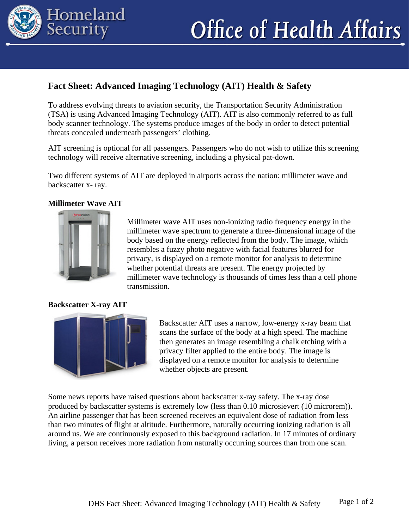

# **Office of Health Affairs**

## **Fact Sheet: Advanced Imaging Technology (AIT) Health & Safety**

To address evolving threats to aviation security, the Transportation Security Administration (TSA) is using Advanced Imaging Technology (AIT). AIT is also commonly referred to as full body scanner technology. The systems produce images of the body in order to detect potential threats concealed underneath passengers' clothing.

AIT screening is optional for all passengers. Passengers who do not wish to utilize this screening technology will receive alternative screening, including a physical pat-down.

Two different systems of AIT are deployed in airports across the nation: millimeter wave and backscatter x- ray.

#### **Millimeter Wave AIT**



Millimeter wave AIT uses non-ionizing radio frequency energy in the millimeter wave spectrum to generate a three-dimensional image of the body based on the energy reflected from the body. The image, which resembles a fuzzy photo negative with facial features blurred for privacy, is displayed on a remote monitor for analysis to determine whether potential threats are present. The energy projected by millimeter wave technology is thousands of times less than a cell phone transmission.

#### **Backscatter X-ray AIT**



Backscatter AIT uses a narrow, low-energy x-ray beam that scans the surface of the body at a high speed. The machine then generates an image resembling a chalk etching with a privacy filter applied to the entire body. The image is displayed on a remote monitor for analysis to determine whether objects are present.

Some news reports have raised questions about backscatter x-ray safety. The x-ray dose produced by backscatter systems is extremely low (less than 0.10 microsievert (10 microrem)). An airline passenger that has been screened receives an equivalent dose of radiation from less than two minutes of flight at altitude. Furthermore, naturally occurring ionizing radiation is all around us. We are continuously exposed to this background radiation. In 17 minutes of ordinary living, a person receives more radiation from naturally occurring sources than from one scan.